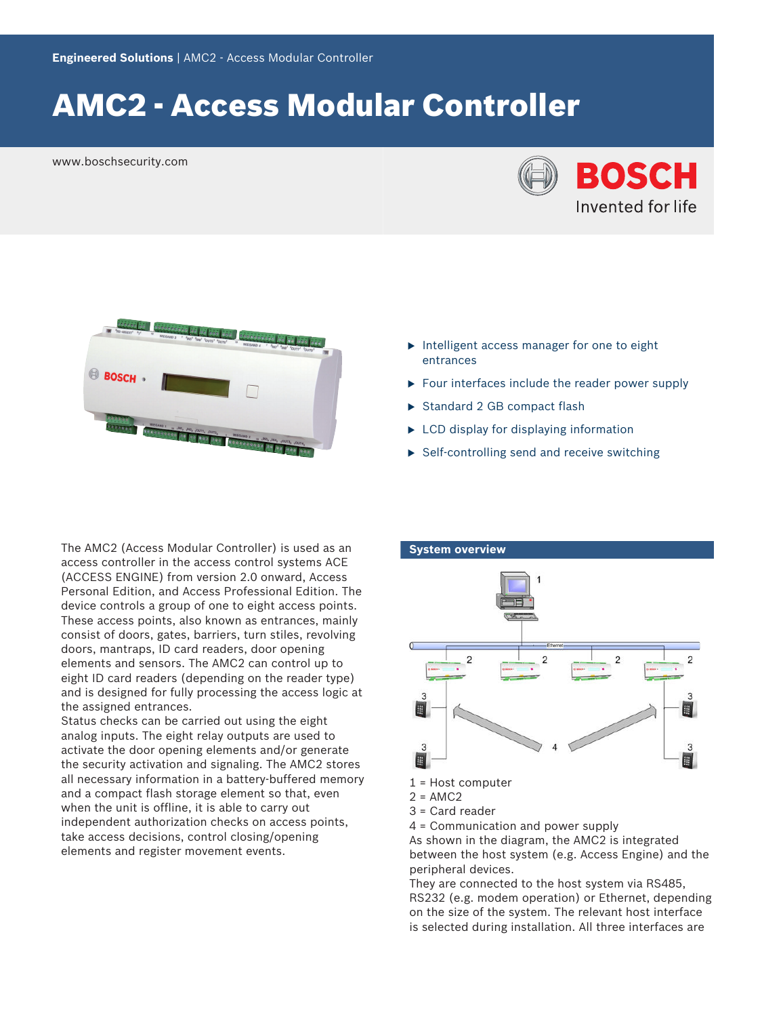# AMC2 - Access Modular Controller

www.boschsecurity.com





- $\blacktriangleright$  Intelligent access manager for one to eight entrances
- $\triangleright$  Four interfaces include the reader power supply
- Standard 2 GB compact flash
- $\blacktriangleright$  LCD display for displaying information
- $\triangleright$  Self-controlling send and receive switching

The AMC2 (Access Modular Controller) is used as an access controller in the access control systems ACE (ACCESS ENGINE) from version 2.0 onward, Access Personal Edition, and Access Professional Edition. The device controls a group of one to eight access points. These access points, also known as entrances, mainly consist of doors, gates, barriers, turn stiles, revolving doors, mantraps, ID card readers, door opening elements and sensors. The AMC2 can control up to eight ID card readers (depending on the reader type) and is designed for fully processing the access logic at the assigned entrances.

Status checks can be carried out using the eight analog inputs. The eight relay outputs are used to activate the door opening elements and/or generate the security activation and signaling. The AMC2 stores all necessary information in a battery-buffered memory and a compact flash storage element so that, even when the unit is offline, it is able to carry out independent authorization checks on access points, take access decisions, control closing/opening elements and register movement events.

#### **System overview**



- 1 = Host computer
- $2 = AMC2$
- 3 = Card reader
- 4 = Communication and power supply

As shown in the diagram, the AMC2 is integrated between the host system (e.g. Access Engine) and the peripheral devices.

They are connected to the host system via RS485, RS232 (e.g. modem operation) or Ethernet, depending on the size of the system. The relevant host interface is selected during installation. All three interfaces are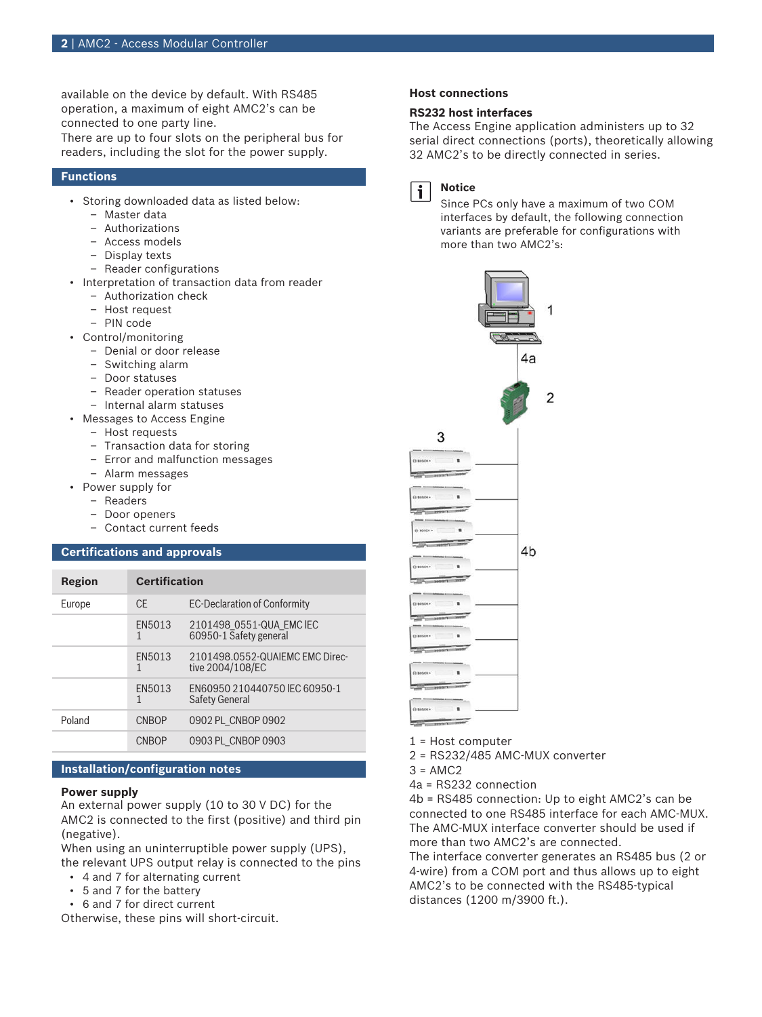available on the device by default. With RS485 operation, a maximum of eight AMC2's can be connected to one party line.

There are up to four slots on the peripheral bus for readers, including the slot for the power supply.

#### **Functions**

- Storing downloaded data as listed below:
	- Master data
	- Authorizations
	- Access models
	- Display texts
	- Reader configurations
- Interpretation of transaction data from reader
	- Authorization check
	- Host request
	- PIN code
- Control/monitoring
	- Denial or door release
	- Switching alarm
	- Door statuses
	- Reader operation statuses
	- Internal alarm statuses
- Messages to Access Engine
	- Host requests
	- Transaction data for storing
	- Error and malfunction messages
	- Alarm messages
- Power supply for
	- Readers
	- Door openers
	- Contact current feeds

#### **Certifications and approvals**

| Region | <b>Certification</b> |                                                     |
|--------|----------------------|-----------------------------------------------------|
| Europe | CF.                  | <b>EC-Declaration of Conformity</b>                 |
|        | EN5013<br>1          | 2101498 0551-QUA EMC IEC<br>60950-1 Safety general  |
|        | FN5013<br>1          | 2101498.0552-QUAIEMC EMC Direc-<br>tive 2004/108/EC |
|        | FN5013<br>1          | EN60950 210440750 IFC 60950-1<br>Safety General     |
| Poland | CNBOP                | 0902 PL CNBOP 0902                                  |
|        | CNBOP                | 0903 PL CNBOP 0903                                  |

#### **Installation/configuration notes**

#### **Power supply**

An external power supply (10 to 30 V DC) for the AMC2 is connected to the first (positive) and third pin (negative).

When using an uninterruptible power supply (UPS), the relevant UPS output relay is connected to the pins

- 4 and 7 for alternating current
- 5 and 7 for the battery
- 6 and 7 for direct current

Otherwise, these pins will short-circuit.

### **Host connections**

#### **RS232 host interfaces**

The Access Engine application administers up to 32 serial direct connections (ports), theoretically allowing 32 AMC2's to be directly connected in series.



### **Notice**

Since PCs only have a maximum of two COM interfaces by default, the following connection variants are preferable for configurations with more than two AMC2's:



1 = Host computer

- 2 = RS232/485 AMC-MUX converter
- $3 = AMC2$
- 4a = RS232 connection

4b = RS485 connection: Up to eight AMC2's can be connected to one RS485 interface for each AMC-MUX. The AMC-MUX interface converter should be used if more than two AMC2's are connected.

The interface converter generates an RS485 bus (2 or 4-wire) from a COM port and thus allows up to eight AMC2's to be connected with the RS485-typical distances (1200 m/3900 ft.).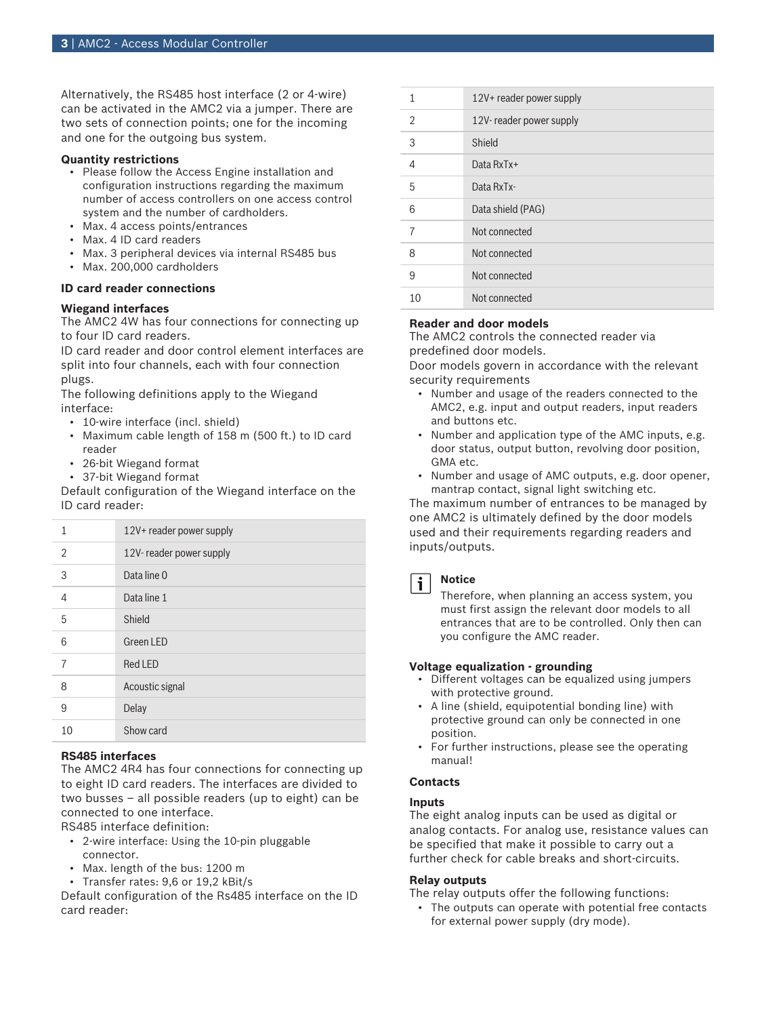Alternatively, the RS485 host interface (2 or 4-wire) can be activated in the AMC2 via a jumper. There are two sets of connection points; one for the incoming and one for the outgoing bus system.

#### **Quantity restrictions**

- Please follow the Access Engine installation and configuration instructions regarding the maximum number of access controllers on one access control system and the number of cardholders.
- Max. 4 access points/entrances
- Max. 4 ID card readers
- Max. 3 peripheral devices via internal RS485 bus
- Max. 200,000 cardholders

## **ID card reader connections**

#### **Wiegand interfaces**

The AMC2 4W has four connections for connecting up to four ID card readers.

ID card reader and door control element interfaces are split into four channels, each with four connection plugs.

The following definitions apply to the Wiegand interface:

- 10-wire interface (incl. shield)
- Maximum cable length of 158 m (500 ft.) to ID card reader
- 26-bit Wiegand format
- 37-bit Wiegand format

Default configuration of the Wiegand interface on the ID card reader:

| 1  | 12V+ reader power supply |
|----|--------------------------|
| 2  | 12V-reader power supply  |
| 3  | Data line 0              |
| 4  | Data line 1              |
| 5  | Shield                   |
| 6  | <b>Green LED</b>         |
| 7  | <b>Red LED</b>           |
| 8  | Acoustic signal          |
| 9  | Delay                    |
| 10 | Show card                |

#### **RS485 interfaces**

The AMC2 4R4 has four connections for connecting up to eight ID card readers. The interfaces are divided to two busses – all possible readers (up to eight) can be connected to one interface.

RS485 interface definition:

- 2-wire interface: Using the 10-pin pluggable connector.
- Max. length of the bus: 1200 m
- Transfer rates: 9,6 or 19,2 kBit/s

Default configuration of the Rs485 interface on the ID card reader:

| 1              | 12V+ reader power supply |
|----------------|--------------------------|
| 2              | 12V-reader power supply  |
| 3              | Shield                   |
| $\overline{4}$ | Data $RxTx+$             |
| 5              | Data RxTx-               |
| 6              | Data shield (PAG)        |
| 7              | Not connected            |
| 8              | Not connected            |
| 9              | Not connected            |
| 10             | Not connected            |
|                |                          |

### **Reader and door models**

The AMC2 controls the connected reader via predefined door models.

Door models govern in accordance with the relevant security requirements

- Number and usage of the readers connected to the AMC2, e.g. input and output readers, input readers and buttons etc.
- Number and application type of the AMC inputs, e.g. door status, output button, revolving door position, GMA etc.
- Number and usage of AMC outputs, e.g. door opener, mantrap contact, signal light switching etc.

The maximum number of entrances to be managed by one AMC2 is ultimately defined by the door models used and their requirements regarding readers and inputs/outputs.



### **Notice**

Therefore, when planning an access system, you must first assign the relevant door models to all entrances that are to be controlled. Only then can you configure the AMC reader.

#### **Voltage equalization - grounding**

- Different voltages can be equalized using jumpers with protective ground.
- A line (shield, equipotential bonding line) with protective ground can only be connected in one position.
- For further instructions, please see the operating manual!

#### **Contacts**

#### **Inputs**

The eight analog inputs can be used as digital or analog contacts. For analog use, resistance values can be specified that make it possible to carry out a further check for cable breaks and short-circuits.

#### **Relay outputs**

The relay outputs offer the following functions:

• The outputs can operate with potential free contacts for external power supply (dry mode).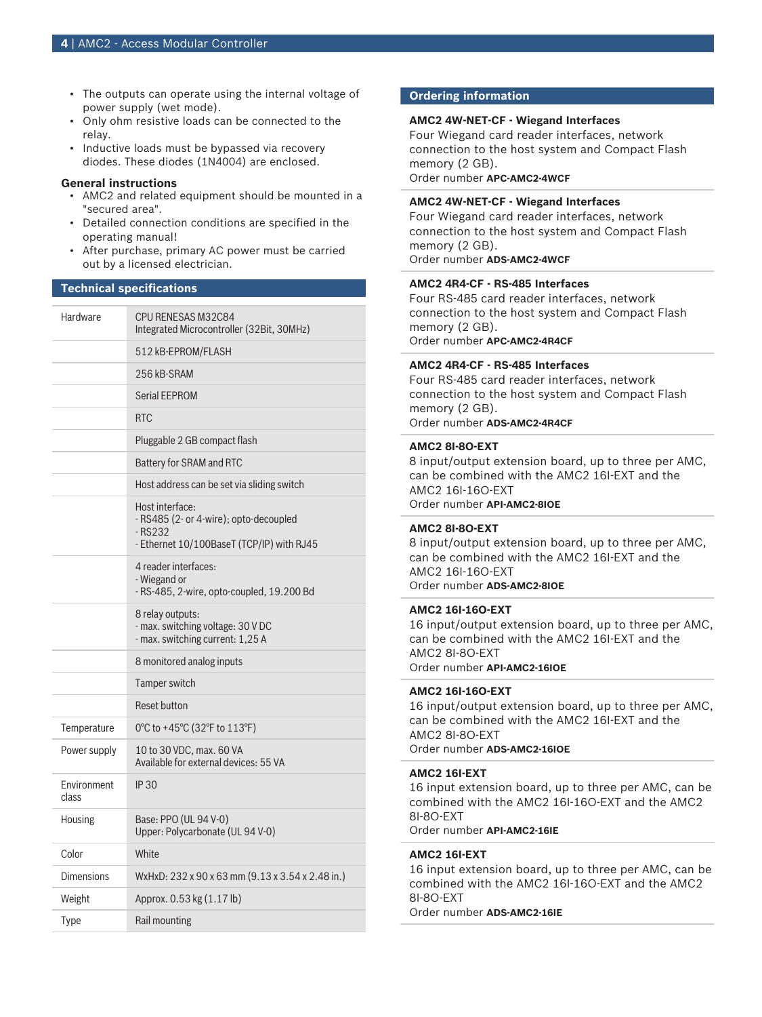- The outputs can operate using the internal voltage of power supply (wet mode).
- Only ohm resistive loads can be connected to the relay.
- Inductive loads must be bypassed via recovery diodes. These diodes (1N4004) are enclosed.

#### **General instructions**

- AMC2 and related equipment should be mounted in a "secured area".
- Detailed connection conditions are specified in the operating manual!
- After purchase, primary AC power must be carried out by a licensed electrician.

#### **Technical specifications**

| Hardware             | CPU RENESAS M32C84<br>Integrated Microcontroller (32Bit, 30MHz)                                                   |  |
|----------------------|-------------------------------------------------------------------------------------------------------------------|--|
|                      | 512 kB-EPROM/FLASH                                                                                                |  |
|                      | 256 kB-SRAM                                                                                                       |  |
|                      | <b>Serial EEPROM</b>                                                                                              |  |
|                      | <b>RTC</b>                                                                                                        |  |
|                      | Pluggable 2 GB compact flash                                                                                      |  |
|                      | Battery for SRAM and RTC                                                                                          |  |
|                      | Host address can be set via sliding switch                                                                        |  |
|                      | Host interface:<br>- RS485 (2- or 4-wire); opto-decoupled<br>- RS232<br>- Ethernet 10/100BaseT (TCP/IP) with RJ45 |  |
|                      | 4 reader interfaces:<br>- Wiegand or<br>- RS-485, 2-wire, opto-coupled, 19.200 Bd                                 |  |
|                      | 8 relay outputs:<br>- max. switching voltage: 30 V DC<br>- max. switching current: 1,25 A                         |  |
|                      | 8 monitored analog inputs                                                                                         |  |
|                      | Tamper switch                                                                                                     |  |
|                      | <b>Reset button</b>                                                                                               |  |
| Temperature          | 0°C to +45°C (32°F to 113°F)                                                                                      |  |
| Power supply         | 10 to 30 VDC, max. 60 VA<br>Available for external devices: 55 VA                                                 |  |
| Environment<br>class | <b>IP30</b>                                                                                                       |  |
| Housing              | Base: PPO (UL 94 V-0)<br>Upper: Polycarbonate (UL 94 V-0)                                                         |  |
| Color                | White                                                                                                             |  |
| <b>Dimensions</b>    | WxHxD: 232 x 90 x 63 mm (9.13 x 3.54 x 2.48 in.)                                                                  |  |
| Weight               | Approx. 0.53 kg (1.17 lb)                                                                                         |  |
| Type                 | Rail mounting                                                                                                     |  |

#### **Ordering information**

#### **AMC2 4W-NET-CF - Wiegand Interfaces**

Four Wiegand card reader interfaces, network connection to the host system and Compact Flash memory (2 GB). Order number **APC-AMC2-4WCF**

#### **AMC2 4W-NET-CF - Wiegand Interfaces**

Four Wiegand card reader interfaces, network connection to the host system and Compact Flash memory (2 GB). Order number **ADS-AMC2-4WCF**

#### **AMC2 4R4-CF - RS-485 Interfaces**

Four RS-485 card reader interfaces, network connection to the host system and Compact Flash memory (2 GB). Order number **APC-AMC2-4R4CF**

#### **AMC2 4R4-CF - RS-485 Interfaces**

Four RS-485 card reader interfaces, network connection to the host system and Compact Flash memory (2 GB). Order number **ADS-AMC2-4R4CF**

#### **AMC2 8I-8O-EXT**

8 input/output extension board, up to three per AMC, can be combined with the AMC2 16I-EXT and the AMC2 16I-16O-EXT Order number **API-AMC2-8IOE**

#### **AMC2 8I-8O-EXT**

8 input/output extension board, up to three per AMC, can be combined with the AMC2 16I-EXT and the AMC2 16I-16O-EXT Order number **ADS-AMC2-8IOE**

#### **AMC2 16I-16O-EXT**

16 input/output extension board, up to three per AMC, can be combined with the AMC2 16I-EXT and the AMC2 8I-8O-EXT Order number **API-AMC2-16IOE**

#### **AMC2 16I-16O-EXT**

16 input/output extension board, up to three per AMC, can be combined with the AMC2 16I-EXT and the AMC2 8I-8O-EXT Order number **ADS-AMC2-16IOE**

#### **AMC2 16I-EXT**

16 input extension board, up to three per AMC, can be combined with the AMC2 16I-16O-EXT and the AMC2 8I-8O-EXT Order number **API-AMC2-16IE**

#### **AMC2 16I-EXT**

16 input extension board, up to three per AMC, can be combined with the AMC2 16I-16O-EXT and the AMC2 8I-8O-EXT Order number **ADS-AMC2-16IE**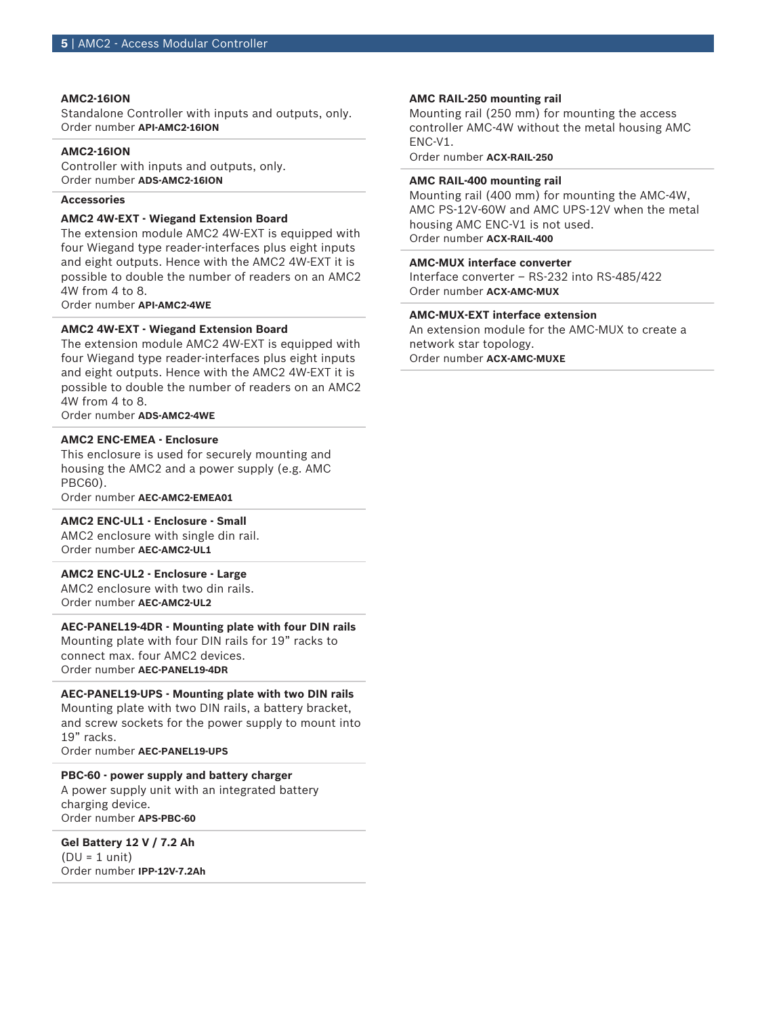#### **AMC2-16ION**

Standalone Controller with inputs and outputs, only. Order number **API-AMC2-16ION**

#### **AMC2-16ION**

Controller with inputs and outputs, only. Order number **ADS-AMC2-16ION**

#### **Accessories**

#### **AMC2 4W-EXT - Wiegand Extension Board**

The extension module AMC2 4W-EXT is equipped with four Wiegand type reader-interfaces plus eight inputs and eight outputs. Hence with the AMC2 4W-EXT it is possible to double the number of readers on an AMC2 4W from 4 to 8.

Order number **API-AMC2-4WE**

#### **AMC2 4W-EXT - Wiegand Extension Board**

The extension module AMC2 4W-EXT is equipped with four Wiegand type reader-interfaces plus eight inputs and eight outputs. Hence with the AMC2 4W-EXT it is possible to double the number of readers on an AMC2 4W from 4 to 8.

Order number **ADS-AMC2-4WE**

#### **AMC2 ENC-EMEA - Enclosure**

This enclosure is used for securely mounting and housing the AMC2 and a power supply (e.g. AMC PBC60).

Order number **AEC-AMC2-EMEA01**

#### **AMC2 ENC-UL1 - Enclosure - Small**

AMC2 enclosure with single din rail. Order number **AEC-AMC2-UL1**

**AMC2 ENC-UL2 - Enclosure - Large** AMC2 enclosure with two din rails.

Order number **AEC-AMC2-UL2**

**AEC-PANEL19-4DR - Mounting plate with four DIN rails** Mounting plate with four DIN rails for 19" racks to

connect max. four AMC2 devices. Order number **AEC-PANEL19-4DR**

#### **AEC-PANEL19-UPS - Mounting plate with two DIN rails**

Mounting plate with two DIN rails, a battery bracket, and screw sockets for the power supply to mount into 19" racks.

Order number **AEC-PANEL19-UPS**

#### **PBC-60 - power supply and battery charger**

A power supply unit with an integrated battery charging device. Order number **APS-PBC-60**

#### **Gel Battery 12 V / 7.2 Ah**  $(DU = 1$  unit)

Order number **IPP-12V-7.2Ah**

#### **AMC RAIL-250 mounting rail**

Mounting rail (250 mm) for mounting the access controller AMC-4W without the metal housing AMC ENC-V1.

Order number **ACX-RAIL-250**

#### **AMC RAIL-400 mounting rail**

Mounting rail (400 mm) for mounting the AMC-4W, AMC PS-12V-60W and AMC UPS-12V when the metal housing AMC ENC-V1 is not used. Order number **ACX-RAIL-400**

#### **AMC-MUX interface converter**

Interface converter – RS-232 into RS-485/422 Order number **ACX-AMC-MUX**

#### **AMC-MUX-EXT interface extension**

An extension module for the AMC-MUX to create a network star topology. Order number **ACX-AMC-MUXE**